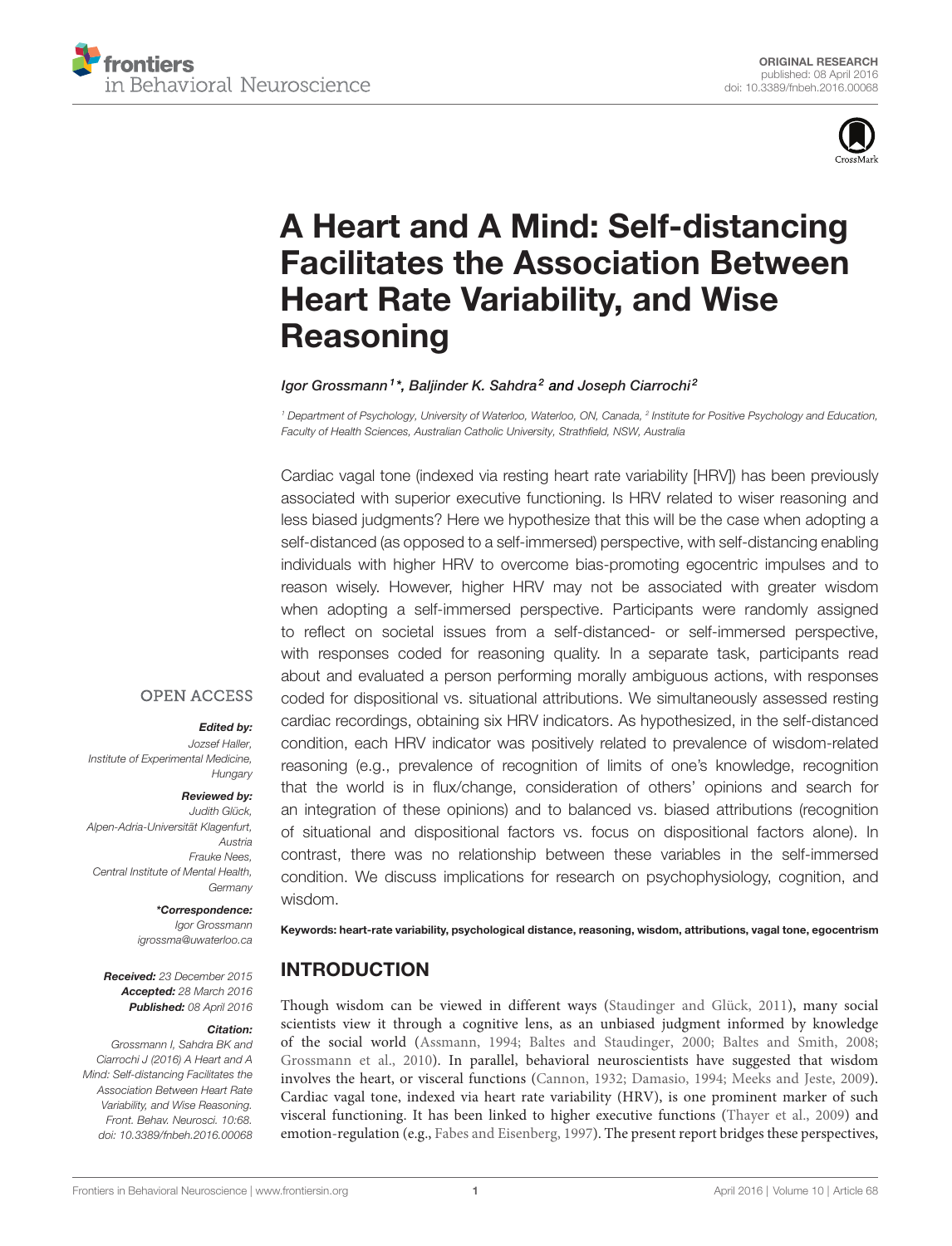



# [A Heart and A Mind: Self-distancing](http://journal.frontiersin.org/article/10.3389/fnbeh.2016.00068/abstract) [Facilitates the Association Between](http://journal.frontiersin.org/article/10.3389/fnbeh.2016.00068/abstract) [Heart Rate Variability, and Wise](http://journal.frontiersin.org/article/10.3389/fnbeh.2016.00068/abstract) **[Reasoning](http://journal.frontiersin.org/article/10.3389/fnbeh.2016.00068/abstract)**

#### lgor Grossmann<sup>1</sup>\*, [Baljinder K. Sahdra](http://loop.frontiersin.org/people/66774/overview)<sup>2</sup> and [Joseph Ciarrochi](http://loop.frontiersin.org/people/166816/overview)<sup>2</sup>

<sup>1</sup> Department of Psychology, University of Waterloo, Waterloo, ON, Canada, <sup>2</sup> Institute for Positive Psychology and Education, Faculty of Health Sciences, Australian Catholic University, Strathfield, NSW, Australia

Cardiac vagal tone (indexed via resting heart rate variability [HRV]) has been previously associated with superior executive functioning. Is HRV related to wiser reasoning and less biased judgments? Here we hypothesize that this will be the case when adopting a self-distanced (as opposed to a self-immersed) perspective, with self-distancing enabling individuals with higher HRV to overcome bias-promoting egocentric impulses and to reason wisely. However, higher HRV may not be associated with greater wisdom when adopting a self-immersed perspective. Participants were randomly assigned to reflect on societal issues from a self-distanced- or self-immersed perspective, with responses coded for reasoning quality. In a separate task, participants read about and evaluated a person performing morally ambiguous actions, with responses coded for dispositional vs. situational attributions. We simultaneously assessed resting cardiac recordings, obtaining six HRV indicators. As hypothesized, in the self-distanced condition, each HRV indicator was positively related to prevalence of wisdom-related reasoning (e.g., prevalence of recognition of limits of one's knowledge, recognition that the world is in flux/change, consideration of others' opinions and search for an integration of these opinions) and to balanced vs. biased attributions (recognition of situational and dispositional factors vs. focus on dispositional factors alone). In contrast, there was no relationship between these variables in the self-immersed condition. We discuss implications for research on psychophysiology, cognition, and wisdom.

### **OPEN ACCESS**

#### Edited by:

Jozsef Haller, Institute of Experimental Medicine, **Hungary** 

#### Reviewed by:

Judith Glück, Alpen-Adria-Universität Klagenfurt, Austria Frauke Nees, Central Institute of Mental Health, **Germany** 

#### \*Correspondence:

Igor Grossmann [igrossma@uwaterloo.ca](mailto:igrossma@uwaterloo.ca)

Received: 23 December 2015 Accepted: 28 March 2016 Published: 08 April 2016

#### Citation:

Grossmann I, Sahdra BK and Ciarrochi J (2016) A Heart and A Mind: Self-distancing Facilitates the Association Between Heart Rate Variability, and Wise Reasoning. Front. Behav. Neurosci. 10:68. [doi: 10.3389/fnbeh.2016.00068](http://dx.doi.org/10.3389/fnbeh.2016.00068) Keywords: heart-rate variability, psychological distance, reasoning, wisdom, attributions, vagal tone, egocentrism

### INTRODUCTION

Though wisdom can be viewed in different ways [\(Staudinger and Glück, 2011\)](#page-9-0), many social scientists view it through a cognitive lens, as an unbiased judgment informed by knowledge of the social world [\(Assmann, 1994;](#page-8-0) [Baltes and Staudinger, 2000;](#page-8-1) [Baltes and Smith, 2008;](#page-8-2) [Grossmann et al., 2010\)](#page-8-3). In parallel, behavioral neuroscientists have suggested that wisdom involves the heart, or visceral functions [\(Cannon, 1932;](#page-8-4) [Damasio, 1994;](#page-8-5) [Meeks and Jeste, 2009\)](#page-9-1). Cardiac vagal tone, indexed via heart rate variability (HRV), is one prominent marker of such visceral functioning. It has been linked to higher executive functions [\(Thayer et al., 2009\)](#page-9-2) and emotion-regulation (e.g., [Fabes and Eisenberg, 1997\)](#page-8-6). The present report bridges these perspectives,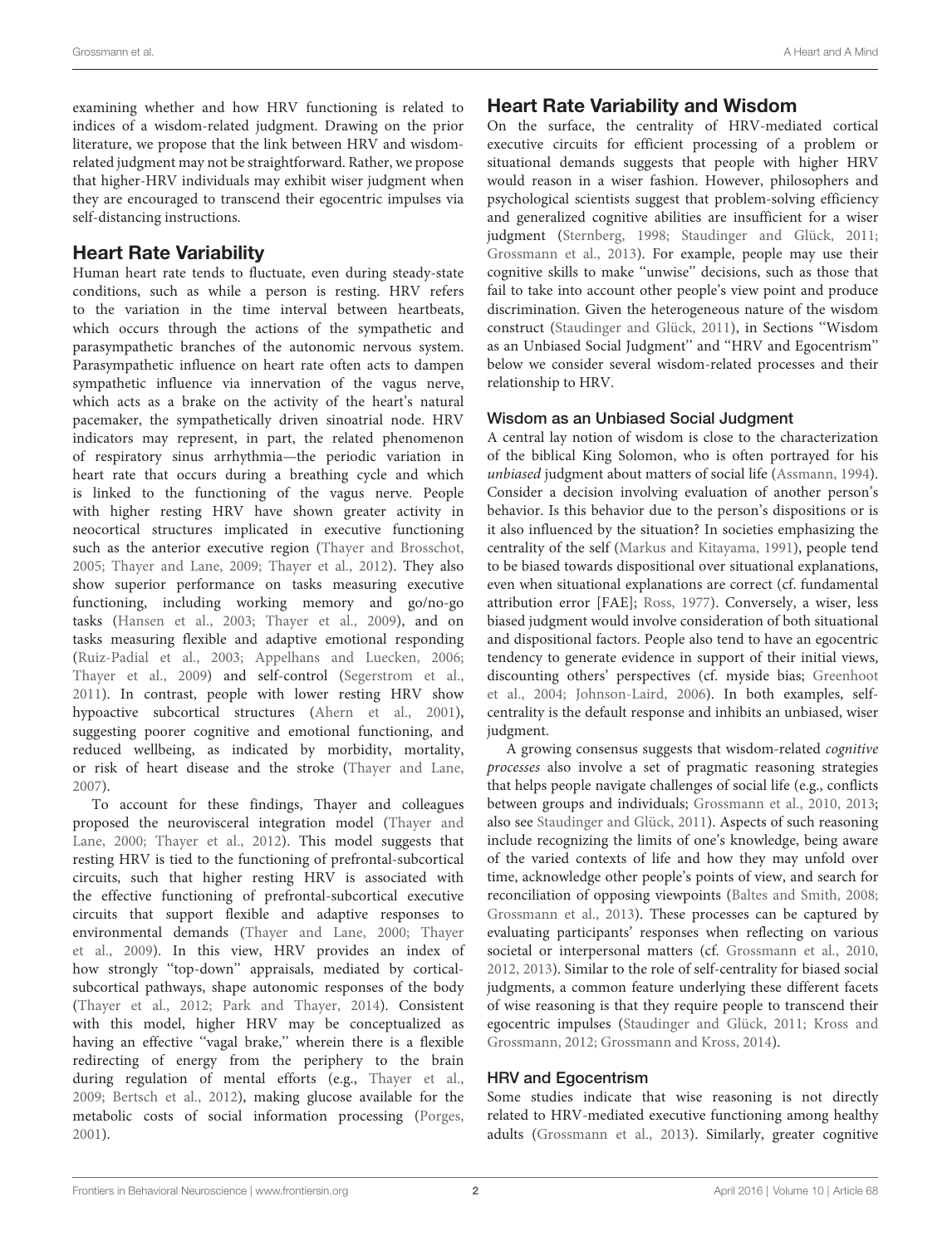examining whether and how HRV functioning is related to indices of a wisdom-related judgment. Drawing on the prior literature, we propose that the link between HRV and wisdomrelated judgment may not be straightforward. Rather, we propose that higher-HRV individuals may exhibit wiser judgment when they are encouraged to transcend their egocentric impulses via self-distancing instructions.

### Heart Rate Variability

Human heart rate tends to fluctuate, even during steady-state conditions, such as while a person is resting. HRV refers to the variation in the time interval between heartbeats, which occurs through the actions of the sympathetic and parasympathetic branches of the autonomic nervous system. Parasympathetic influence on heart rate often acts to dampen sympathetic influence via innervation of the vagus nerve, which acts as a brake on the activity of the heart's natural pacemaker, the sympathetically driven sinoatrial node. HRV indicators may represent, in part, the related phenomenon of respiratory sinus arrhythmia—the periodic variation in heart rate that occurs during a breathing cycle and which is linked to the functioning of the vagus nerve. People with higher resting HRV have shown greater activity in neocortical structures implicated in executive functioning such as the anterior executive region [\(Thayer and Brosschot,](#page-9-3) [2005;](#page-9-3) [Thayer and Lane,](#page-9-4) [2009;](#page-9-4) [Thayer et al.,](#page-9-5) [2012\)](#page-9-5). They also show superior performance on tasks measuring executive functioning, including working memory and go/no-go tasks [\(Hansen et al.,](#page-8-7) [2003;](#page-8-7) [Thayer et al.,](#page-9-2) [2009\)](#page-9-2), and on tasks measuring flexible and adaptive emotional responding [\(Ruiz-Padial et al.,](#page-9-6) [2003;](#page-9-6) [Appelhans and Luecken,](#page-8-8) [2006;](#page-8-8) [Thayer et al.,](#page-9-2) [2009\)](#page-9-2) and self-control [\(Segerstrom et al.,](#page-9-7) [2011\)](#page-9-7). In contrast, people with lower resting HRV show hypoactive subcortical structures [\(Ahern et al.,](#page-8-9) [2001\)](#page-8-9), suggesting poorer cognitive and emotional functioning, and reduced wellbeing, as indicated by morbidity, mortality, or risk of heart disease and the stroke [\(Thayer and Lane,](#page-9-8) [2007\)](#page-9-8).

To account for these findings, Thayer and colleagues proposed the neurovisceral integration model [\(Thayer and](#page-9-9) [Lane,](#page-9-9) [2000;](#page-9-9) [Thayer et al.,](#page-9-5) [2012\)](#page-9-5). This model suggests that resting HRV is tied to the functioning of prefrontal-subcortical circuits, such that higher resting HRV is associated with the effective functioning of prefrontal-subcortical executive circuits that support flexible and adaptive responses to environmental demands [\(Thayer and Lane,](#page-9-9) [2000;](#page-9-9) [Thayer](#page-9-2) [et al.,](#page-9-2) [2009\)](#page-9-2). In this view, HRV provides an index of how strongly ''top-down'' appraisals, mediated by corticalsubcortical pathways, shape autonomic responses of the body [\(Thayer et al.,](#page-9-5) [2012;](#page-9-5) [Park and Thayer,](#page-9-10) [2014\)](#page-9-10). Consistent with this model, higher HRV may be conceptualized as having an effective "vagal brake," wherein there is a flexible redirecting of energy from the periphery to the brain during regulation of mental efforts (e.g., [Thayer et al.,](#page-9-2) [2009;](#page-9-2) [Bertsch et al.,](#page-8-10) [2012\)](#page-8-10), making glucose available for the metabolic costs of social information processing [\(Porges,](#page-9-11) [2001\)](#page-9-11).

### Heart Rate Variability and Wisdom

On the surface, the centrality of HRV-mediated cortical executive circuits for efficient processing of a problem or situational demands suggests that people with higher HRV would reason in a wiser fashion. However, philosophers and psychological scientists suggest that problem-solving efficiency and generalized cognitive abilities are insufficient for a wiser judgment [\(Sternberg,](#page-9-12) [1998;](#page-9-12) [Staudinger and Glück,](#page-9-0) [2011;](#page-9-0) [Grossmann et al.,](#page-8-11) [2013\)](#page-8-11). For example, people may use their cognitive skills to make ''unwise'' decisions, such as those that fail to take into account other people's view point and produce discrimination. Given the heterogeneous nature of the wisdom construct [\(Staudinger and Glück,](#page-9-0) [2011\)](#page-9-0), in Sections ''Wisdom as an Unbiased Social Judgment'' and ''HRV and Egocentrism'' below we consider several wisdom-related processes and their relationship to HRV.

### Wisdom as an Unbiased Social Judgment

A central lay notion of wisdom is close to the characterization of the biblical King Solomon, who is often portrayed for his unbiased judgment about matters of social life [\(Assmann,](#page-8-0) [1994\)](#page-8-0). Consider a decision involving evaluation of another person's behavior. Is this behavior due to the person's dispositions or is it also influenced by the situation? In societies emphasizing the centrality of the self [\(Markus and Kitayama,](#page-9-13) [1991\)](#page-9-13), people tend to be biased towards dispositional over situational explanations, even when situational explanations are correct (cf. fundamental attribution error [FAE]; [Ross,](#page-9-14) [1977\)](#page-9-14). Conversely, a wiser, less biased judgment would involve consideration of both situational and dispositional factors. People also tend to have an egocentric tendency to generate evidence in support of their initial views, discounting others' perspectives (cf. myside bias; [Greenhoot](#page-8-12) [et al.,](#page-8-12) [2004;](#page-8-12) [Johnson-Laird,](#page-8-13) [2006\)](#page-8-13). In both examples, selfcentrality is the default response and inhibits an unbiased, wiser judgment.

A growing consensus suggests that wisdom-related cognitive processes also involve a set of pragmatic reasoning strategies that helps people navigate challenges of social life (e.g., conflicts between groups and individuals; [Grossmann et al.,](#page-8-3) [2010,](#page-8-3) [2013;](#page-8-11) also see [Staudinger and Glück,](#page-9-0) [2011\)](#page-9-0). Aspects of such reasoning include recognizing the limits of one's knowledge, being aware of the varied contexts of life and how they may unfold over time, acknowledge other people's points of view, and search for reconciliation of opposing viewpoints [\(Baltes and Smith,](#page-8-2) [2008;](#page-8-2) [Grossmann et al.,](#page-8-11) [2013\)](#page-8-11). These processes can be captured by evaluating participants' responses when reflecting on various societal or interpersonal matters (cf. [Grossmann et al.,](#page-8-3) [2010,](#page-8-3) [2012,](#page-8-14) [2013\)](#page-8-11). Similar to the role of self-centrality for biased social judgments, a common feature underlying these different facets of wise reasoning is that they require people to transcend their egocentric impulses [\(Staudinger and Glück,](#page-9-0) [2011;](#page-9-0) [Kross and](#page-8-15) [Grossmann,](#page-8-15) [2012;](#page-8-15) [Grossmann and Kross,](#page-8-16) [2014\)](#page-8-16).

#### HRV and Egocentrism

Some studies indicate that wise reasoning is not directly related to HRV-mediated executive functioning among healthy adults [\(Grossmann et al.,](#page-8-11) [2013\)](#page-8-11). Similarly, greater cognitive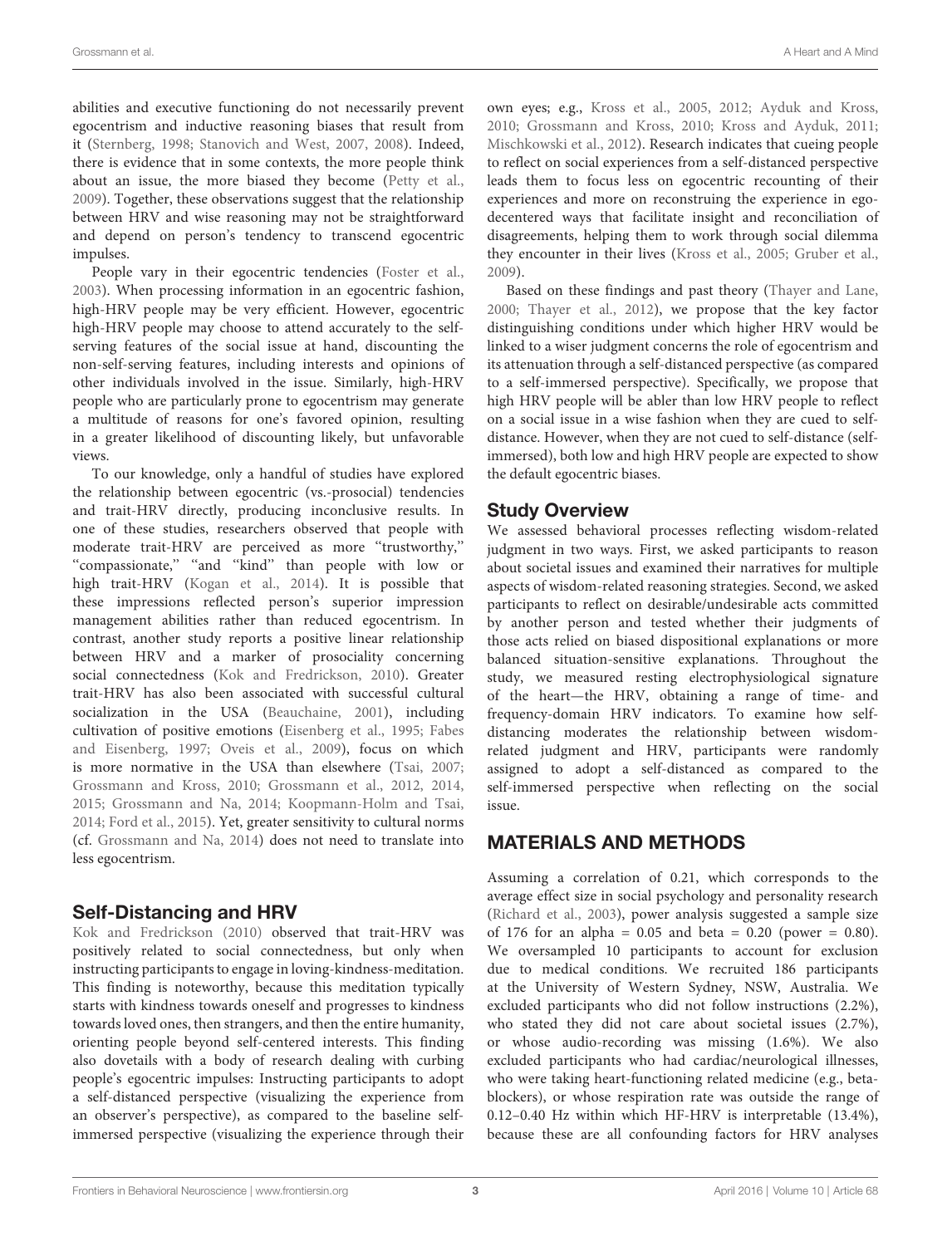abilities and executive functioning do not necessarily prevent egocentrism and inductive reasoning biases that result from it [\(Sternberg,](#page-9-12) [1998;](#page-9-12) [Stanovich and West,](#page-9-15) [2007,](#page-9-15) [2008\)](#page-9-16). Indeed, there is evidence that in some contexts, the more people think about an issue, the more biased they become [\(Petty et al.,](#page-9-17) [2009\)](#page-9-17). Together, these observations suggest that the relationship between HRV and wise reasoning may not be straightforward and depend on person's tendency to transcend egocentric impulses.

People vary in their egocentric tendencies [\(Foster et al.,](#page-8-17) [2003\)](#page-8-17). When processing information in an egocentric fashion, high-HRV people may be very efficient. However, egocentric high-HRV people may choose to attend accurately to the selfserving features of the social issue at hand, discounting the non-self-serving features, including interests and opinions of other individuals involved in the issue. Similarly, high-HRV people who are particularly prone to egocentrism may generate a multitude of reasons for one's favored opinion, resulting in a greater likelihood of discounting likely, but unfavorable views.

To our knowledge, only a handful of studies have explored the relationship between egocentric (vs.-prosocial) tendencies and trait-HRV directly, producing inconclusive results. In one of these studies, researchers observed that people with moderate trait-HRV are perceived as more ''trustworthy,'' "compassionate," "and "kind" than people with low or high trait-HRV [\(Kogan et al.,](#page-8-18) [2014\)](#page-8-18). It is possible that these impressions reflected person's superior impression management abilities rather than reduced egocentrism. In contrast, another study reports a positive linear relationship between HRV and a marker of prosociality concerning social connectedness [\(Kok and Fredrickson,](#page-8-19) [2010\)](#page-8-19). Greater trait-HRV has also been associated with successful cultural socialization in the USA [\(Beauchaine,](#page-8-20) [2001\)](#page-8-20), including cultivation of positive emotions [\(Eisenberg et al.,](#page-8-21) [1995;](#page-8-21) [Fabes](#page-8-6) [and Eisenberg,](#page-8-6) [1997;](#page-8-6) [Oveis et al.,](#page-9-18) [2009\)](#page-9-18), focus on which is more normative in the USA than elsewhere [\(Tsai,](#page-9-19) [2007;](#page-9-19) [Grossmann and Kross,](#page-8-22) [2010;](#page-8-22) [Grossmann et al.,](#page-8-23) [2012,](#page-8-23) [2014,](#page-8-24) [2015;](#page-8-25) [Grossmann and Na,](#page-8-26) [2014;](#page-8-26) [Koopmann-Holm and Tsai,](#page-8-27) [2014;](#page-8-27) [Ford et al.,](#page-8-28) [2015\)](#page-8-28). Yet, greater sensitivity to cultural norms (cf. [Grossmann and Na,](#page-8-26) [2014\)](#page-8-26) does not need to translate into less egocentrism.

### Self-Distancing and HRV

[Kok and Fredrickson](#page-8-19) [\(2010\)](#page-8-19) observed that trait-HRV was positively related to social connectedness, but only when instructing participants to engage in loving-kindness-meditation. This finding is noteworthy, because this meditation typically starts with kindness towards oneself and progresses to kindness towards loved ones, then strangers, and then the entire humanity, orienting people beyond self-centered interests. This finding also dovetails with a body of research dealing with curbing people's egocentric impulses: Instructing participants to adopt a self-distanced perspective (visualizing the experience from an observer's perspective), as compared to the baseline selfimmersed perspective (visualizing the experience through their own eyes; e.g., [Kross et al.,](#page-8-29) [2005,](#page-8-29) [2012;](#page-8-30) [Ayduk and Kross,](#page-8-31) [2010;](#page-8-31) [Grossmann and Kross,](#page-8-22) [2010;](#page-8-22) [Kross and Ayduk,](#page-8-32) [2011;](#page-8-32) [Mischkowski et al.,](#page-9-20) [2012\)](#page-9-20). Research indicates that cueing people to reflect on social experiences from a self-distanced perspective leads them to focus less on egocentric recounting of their experiences and more on reconstruing the experience in egodecentered ways that facilitate insight and reconciliation of disagreements, helping them to work through social dilemma they encounter in their lives [\(Kross et al.,](#page-8-29) [2005;](#page-8-29) [Gruber et al.,](#page-8-33) [2009\)](#page-8-33).

Based on these findings and past theory [\(Thayer and Lane,](#page-9-9) [2000;](#page-9-9) [Thayer et al.,](#page-9-5) [2012\)](#page-9-5), we propose that the key factor distinguishing conditions under which higher HRV would be linked to a wiser judgment concerns the role of egocentrism and its attenuation through a self-distanced perspective (as compared to a self-immersed perspective). Specifically, we propose that high HRV people will be abler than low HRV people to reflect on a social issue in a wise fashion when they are cued to selfdistance. However, when they are not cued to self-distance (selfimmersed), both low and high HRV people are expected to show the default egocentric biases.

### Study Overview

We assessed behavioral processes reflecting wisdom-related judgment in two ways. First, we asked participants to reason about societal issues and examined their narratives for multiple aspects of wisdom-related reasoning strategies. Second, we asked participants to reflect on desirable/undesirable acts committed by another person and tested whether their judgments of those acts relied on biased dispositional explanations or more balanced situation-sensitive explanations. Throughout the study, we measured resting electrophysiological signature of the heart—the HRV, obtaining a range of time- and frequency-domain HRV indicators. To examine how selfdistancing moderates the relationship between wisdomrelated judgment and HRV, participants were randomly assigned to adopt a self-distanced as compared to the self-immersed perspective when reflecting on the social issue.

### MATERIALS AND METHODS

Assuming a correlation of 0.21, which corresponds to the average effect size in social psychology and personality research [\(Richard et al.,](#page-9-21) [2003\)](#page-9-21), power analysis suggested a sample size of 176 for an alpha =  $0.05$  and beta =  $0.20$  (power = 0.80). We oversampled 10 participants to account for exclusion due to medical conditions. We recruited 186 participants at the University of Western Sydney, NSW, Australia. We excluded participants who did not follow instructions (2.2%), who stated they did not care about societal issues (2.7%), or whose audio-recording was missing (1.6%). We also excluded participants who had cardiac/neurological illnesses, who were taking heart-functioning related medicine (e.g., betablockers), or whose respiration rate was outside the range of 0.12–0.40 Hz within which HF-HRV is interpretable (13.4%), because these are all confounding factors for HRV analyses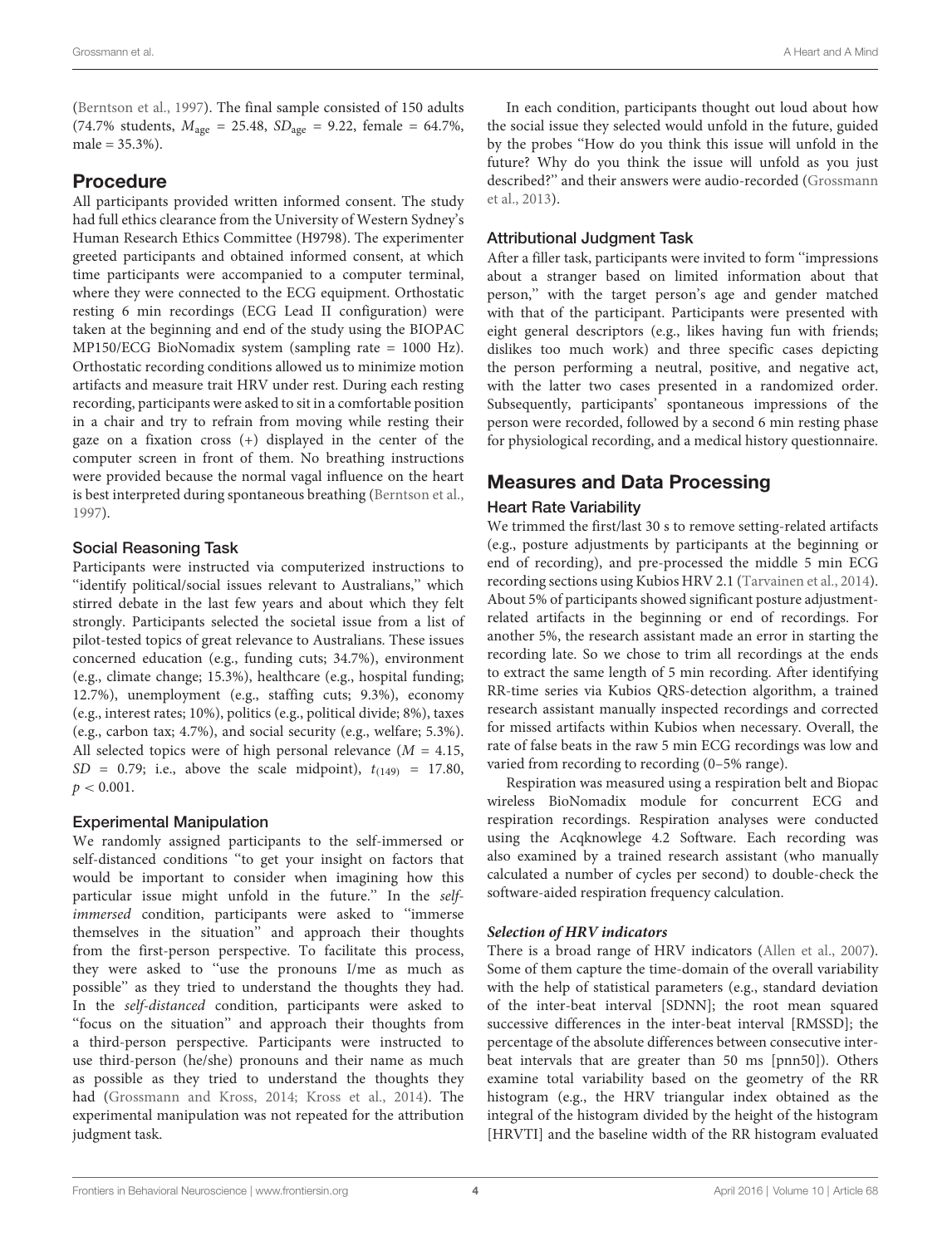[\(Berntson et al.,](#page-8-34) [1997\)](#page-8-34). The final sample consisted of 150 adults (74.7% students,  $M_{\text{age}} = 25.48$ ,  $SD_{\text{age}} = 9.22$ , female = 64.7%,  $male = 35.3\%).$ 

### Procedure

All participants provided written informed consent. The study had full ethics clearance from the University of Western Sydney's Human Research Ethics Committee (H9798). The experimenter greeted participants and obtained informed consent, at which time participants were accompanied to a computer terminal, where they were connected to the ECG equipment. Orthostatic resting 6 min recordings (ECG Lead II configuration) were taken at the beginning and end of the study using the BIOPAC MP150/ECG BioNomadix system (sampling rate = 1000 Hz). Orthostatic recording conditions allowed us to minimize motion artifacts and measure trait HRV under rest. During each resting recording, participants were asked to sit in a comfortable position in a chair and try to refrain from moving while resting their gaze on a fixation cross (+) displayed in the center of the computer screen in front of them. No breathing instructions were provided because the normal vagal influence on the heart is best interpreted during spontaneous breathing [\(Berntson et al.,](#page-8-34) [1997\)](#page-8-34).

### Social Reasoning Task

Participants were instructed via computerized instructions to ''identify political/social issues relevant to Australians,'' which stirred debate in the last few years and about which they felt strongly. Participants selected the societal issue from a list of pilot-tested topics of great relevance to Australians. These issues concerned education (e.g., funding cuts; 34.7%), environment (e.g., climate change; 15.3%), healthcare (e.g., hospital funding; 12.7%), unemployment (e.g., staffing cuts; 9.3%), economy (e.g., interest rates; 10%), politics (e.g., political divide; 8%), taxes (e.g., carbon tax; 4.7%), and social security (e.g., welfare; 5.3%). All selected topics were of high personal relevance  $(M = 4.15,$  $SD = 0.79$ ; i.e., above the scale midpoint),  $t_{(149)} = 17.80$ ,  $p < 0.001$ .

#### Experimental Manipulation

We randomly assigned participants to the self-immersed or self-distanced conditions ''to get your insight on factors that would be important to consider when imagining how this particular issue might unfold in the future.'' In the selfimmersed condition, participants were asked to ''immerse themselves in the situation'' and approach their thoughts from the first-person perspective. To facilitate this process, they were asked to ''use the pronouns I/me as much as possible'' as they tried to understand the thoughts they had. In the self-distanced condition, participants were asked to ''focus on the situation'' and approach their thoughts from a third-person perspective. Participants were instructed to use third-person (he/she) pronouns and their name as much as possible as they tried to understand the thoughts they had [\(Grossmann and Kross,](#page-8-16) [2014;](#page-8-16) [Kross et al.,](#page-8-35) [2014\)](#page-8-35). The experimental manipulation was not repeated for the attribution judgment task.

In each condition, participants thought out loud about how the social issue they selected would unfold in the future, guided by the probes ''How do you think this issue will unfold in the future? Why do you think the issue will unfold as you just described?'' and their answers were audio-recorded [\(Grossmann](#page-8-11) [et al.,](#page-8-11) [2013\)](#page-8-11).

### Attributional Judgment Task

After a filler task, participants were invited to form ''impressions about a stranger based on limited information about that person,'' with the target person's age and gender matched with that of the participant. Participants were presented with eight general descriptors (e.g., likes having fun with friends; dislikes too much work) and three specific cases depicting the person performing a neutral, positive, and negative act, with the latter two cases presented in a randomized order. Subsequently, participants' spontaneous impressions of the person were recorded, followed by a second 6 min resting phase for physiological recording, and a medical history questionnaire.

### Measures and Data Processing

### Heart Rate Variability

We trimmed the first/last 30 s to remove setting-related artifacts (e.g., posture adjustments by participants at the beginning or end of recording), and pre-processed the middle 5 min ECG recording sections using Kubios HRV 2.1 [\(Tarvainen et al.,](#page-9-22) [2014\)](#page-9-22). About 5% of participants showed significant posture adjustmentrelated artifacts in the beginning or end of recordings. For another 5%, the research assistant made an error in starting the recording late. So we chose to trim all recordings at the ends to extract the same length of 5 min recording. After identifying RR-time series via Kubios QRS-detection algorithm, a trained research assistant manually inspected recordings and corrected for missed artifacts within Kubios when necessary. Overall, the rate of false beats in the raw 5 min ECG recordings was low and varied from recording to recording (0–5% range).

Respiration was measured using a respiration belt and Biopac wireless BioNomadix module for concurrent ECG and respiration recordings. Respiration analyses were conducted using the Acqknowlege 4.2 Software. Each recording was also examined by a trained research assistant (who manually calculated a number of cycles per second) to double-check the software-aided respiration frequency calculation.

#### **Selection of HRV indicators**

There is a broad range of HRV indicators [\(Allen et al.,](#page-8-36) [2007\)](#page-8-36). Some of them capture the time-domain of the overall variability with the help of statistical parameters (e.g., standard deviation of the inter-beat interval [SDNN]; the root mean squared successive differences in the inter-beat interval [RMSSD]; the percentage of the absolute differences between consecutive interbeat intervals that are greater than 50 ms [pnn50]). Others examine total variability based on the geometry of the RR histogram (e.g., the HRV triangular index obtained as the integral of the histogram divided by the height of the histogram [HRVTI] and the baseline width of the RR histogram evaluated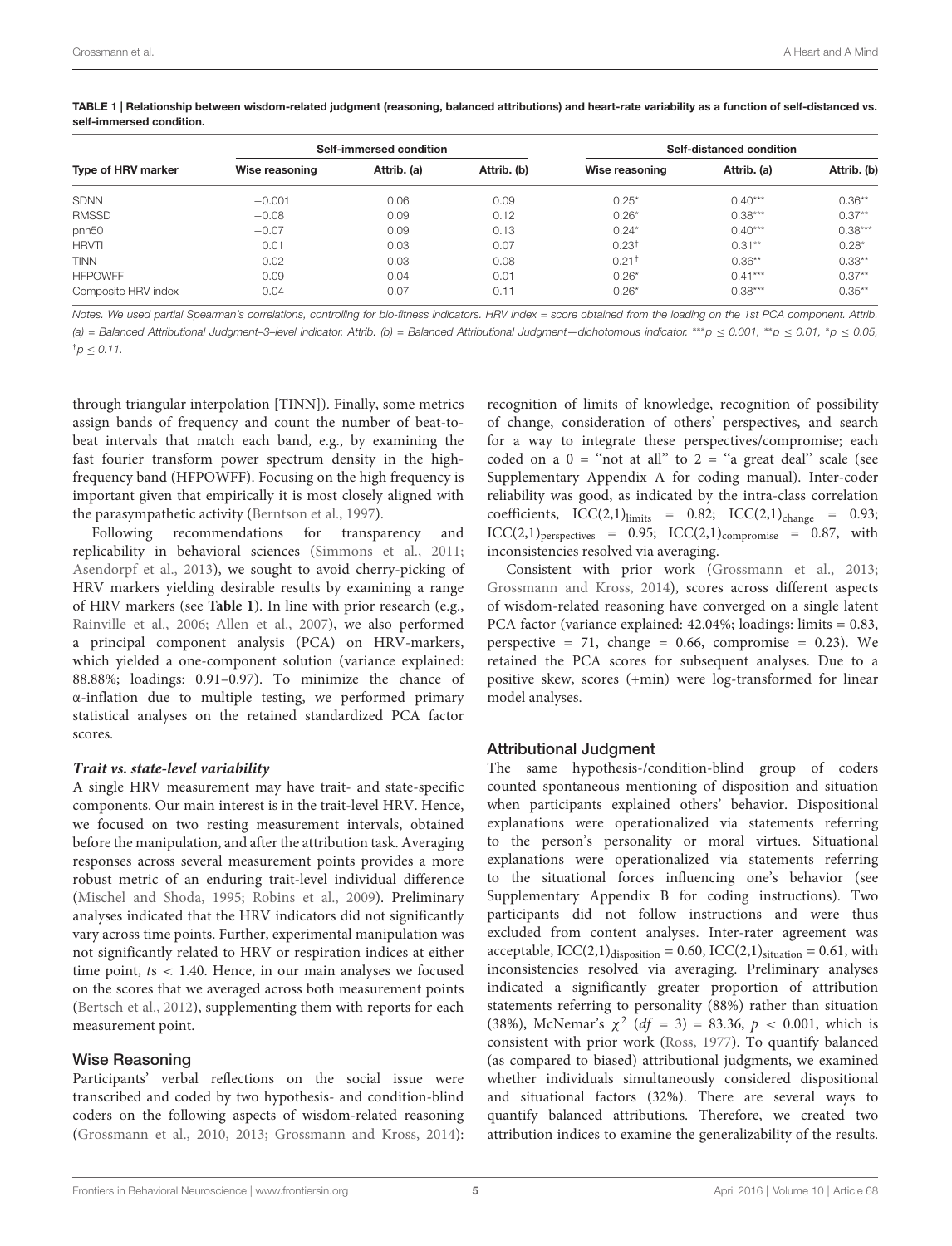| Type of HRV marker  | Self-immersed condition |             |             | Self-distanced condition |             |             |
|---------------------|-------------------------|-------------|-------------|--------------------------|-------------|-------------|
|                     | Wise reasoning          | Attrib. (a) | Attrib. (b) | Wise reasoning           | Attrib. (a) | Attrib. (b) |
| <b>SDNN</b>         | $-0.001$                | 0.06        | 0.09        | $0.25*$                  | $0.40***$   | $0.36**$    |
| <b>RMSSD</b>        | $-0.08$                 | 0.09        | 0.12        | $0.26*$                  | $0.38***$   | $0.37**$    |
| pnn50               | $-0.07$                 | 0.09        | 0.13        | $0.24*$                  | $0.40***$   | $0.38***$   |
| <b>HRVTI</b>        | 0.01                    | 0.03        | 0.07        | $0.23^{\dagger}$         | $0.31***$   | $0.28*$     |
| <b>TINN</b>         | $-0.02$                 | 0.03        | 0.08        | $0.21^+$                 | $0.36**$    | $0.33***$   |
| <b>HFPOWFF</b>      | $-0.09$                 | $-0.04$     | 0.01        | $0.26*$                  | $0.41***$   | $0.37**$    |
| Composite HRV index | $-0.04$                 | 0.07        | 0.11        | $0.26*$                  | $0.38***$   | $0.35***$   |

<span id="page-4-0"></span>TABLE 1 | Relationship between wisdom-related judgment (reasoning, balanced attributions) and heart-rate variability as a function of self-distanced vs. self-immersed condition.

Notes. We used partial Spearman's correlations, controlling for bio-fitness indicators. HRV Index = score obtained from the loading on the 1st PCA component. Attrib. (a) = Balanced Attributional Judgment-3-level indicator. Attrib. (b) = Balanced Attributional Judgment-dichotomous indicator. \*\*\*p ≤ 0.001, \*p ≤ 0.01, \*p ≤ 0.05,  $<sub>0</sub> < 0.11$ .</sub>

through triangular interpolation [TINN]). Finally, some metrics assign bands of frequency and count the number of beat-tobeat intervals that match each band, e.g., by examining the fast fourier transform power spectrum density in the highfrequency band (HFPOWFF). Focusing on the high frequency is important given that empirically it is most closely aligned with the parasympathetic activity [\(Berntson et al.,](#page-8-34) [1997\)](#page-8-34).

Following recommendations for transparency and replicability in behavioral sciences [\(Simmons et al.,](#page-9-23) [2011;](#page-9-23) [Asendorpf et al.,](#page-8-37) [2013\)](#page-8-37), we sought to avoid cherry-picking of HRV markers yielding desirable results by examining a range of HRV markers (see **[Table 1](#page-4-0)**). In line with prior research (e.g., [Rainville et al.,](#page-9-24) [2006;](#page-9-24) [Allen et al.,](#page-8-36) [2007\)](#page-8-36), we also performed a principal component analysis (PCA) on HRV-markers, which yielded a one-component solution (variance explained: 88.88%; loadings: 0.91–0.97). To minimize the chance of α-inflation due to multiple testing, we performed primary statistical analyses on the retained standardized PCA factor scores.

#### **Trait vs. state-level variability**

A single HRV measurement may have trait- and state-specific components. Our main interest is in the trait-level HRV. Hence, we focused on two resting measurement intervals, obtained before the manipulation, and after the attribution task. Averaging responses across several measurement points provides a more robust metric of an enduring trait-level individual difference [\(Mischel and Shoda,](#page-9-25) [1995;](#page-9-25) [Robins et al.,](#page-9-26) [2009\)](#page-9-26). Preliminary analyses indicated that the HRV indicators did not significantly vary across time points. Further, experimental manipulation was not significantly related to HRV or respiration indices at either time point, ts < 1.40. Hence, in our main analyses we focused on the scores that we averaged across both measurement points [\(Bertsch et al.,](#page-8-10) [2012\)](#page-8-10), supplementing them with reports for each measurement point.

#### Wise Reasoning

Participants' verbal reflections on the social issue were transcribed and coded by two hypothesis- and condition-blind coders on the following aspects of wisdom-related reasoning [\(Grossmann et al.,](#page-8-3) [2010,](#page-8-3) [2013;](#page-8-11) [Grossmann and Kross,](#page-8-16) [2014\)](#page-8-16):

recognition of limits of knowledge, recognition of possibility of change, consideration of others' perspectives, and search for a way to integrate these perspectives/compromise; each coded on a  $0 =$  "not at all" to  $2 =$  "a great deal" scale (see Supplementary Appendix A for coding manual). Inter-coder reliability was good, as indicated by the intra-class correlation coefficients,  $ICC(2,1)_{\text{limits}} = 0.82$ ;  $ICC(2,1)_{\text{change}} = 0.93$ ;  $ICC(2,1)_{perspectives} = 0.95; ICC(2,1)_{compromise} = 0.87, with$ inconsistencies resolved via averaging.

Consistent with prior work [\(Grossmann et al.,](#page-8-11) [2013;](#page-8-11) [Grossmann and Kross,](#page-8-16) [2014\)](#page-8-16), scores across different aspects of wisdom-related reasoning have converged on a single latent PCA factor (variance explained: 42.04%; loadings: limits = 0.83, perspective = 71, change =  $0.66$ , compromise = 0.23). We retained the PCA scores for subsequent analyses. Due to a positive skew, scores (+min) were log-transformed for linear model analyses.

#### Attributional Judgment

The same hypothesis-/condition-blind group of coders counted spontaneous mentioning of disposition and situation when participants explained others' behavior. Dispositional explanations were operationalized via statements referring to the person's personality or moral virtues. Situational explanations were operationalized via statements referring to the situational forces influencing one's behavior (see Supplementary Appendix B for coding instructions). Two participants did not follow instructions and were thus excluded from content analyses. Inter-rater agreement was acceptable,  $ICC(2,1)<sub>disposition</sub> = 0.60$ ,  $ICC(2,1)<sub>situation</sub> = 0.61$ , with inconsistencies resolved via averaging. Preliminary analyses indicated a significantly greater proportion of attribution statements referring to personality (88%) rather than situation (38%), McNemar's  $\chi^2$  (df = 3) = 83.36, p < 0.001, which is consistent with prior work [\(Ross,](#page-9-14) [1977\)](#page-9-14). To quantify balanced (as compared to biased) attributional judgments, we examined whether individuals simultaneously considered dispositional and situational factors (32%). There are several ways to quantify balanced attributions. Therefore, we created two attribution indices to examine the generalizability of the results.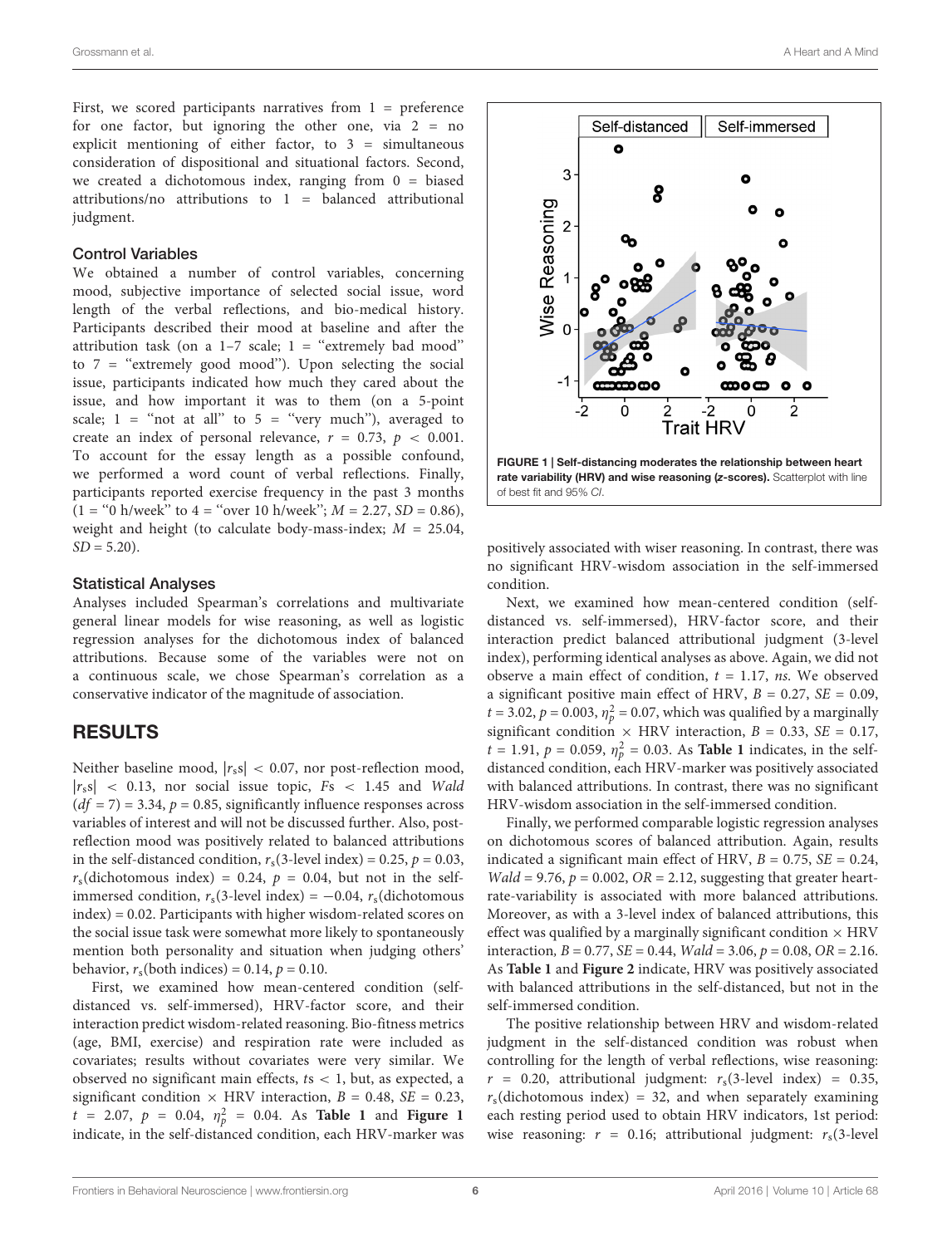First, we scored participants narratives from  $1$  = preference for one factor, but ignoring the other one, via  $2 = no$ explicit mentioning of either factor, to  $3 =$  simultaneous consideration of dispositional and situational factors. Second, we created a dichotomous index, ranging from  $0 = \text{biased}$ attributions/no attributions to  $1 =$  balanced attributional judgment.

#### Control Variables

We obtained a number of control variables, concerning mood, subjective importance of selected social issue, word length of the verbal reflections, and bio-medical history. Participants described their mood at baseline and after the attribution task (on a  $1-7$  scale;  $1 =$  "extremely bad mood" to  $7$  = "extremely good mood"). Upon selecting the social issue, participants indicated how much they cared about the issue, and how important it was to them (on a 5-point scale;  $1 = \text{``not at all''}$  to  $5 = \text{``very much''}$ , averaged to create an index of personal relevance,  $r = 0.73$ ,  $p < 0.001$ . To account for the essay length as a possible confound, we performed a word count of verbal reflections. Finally, participants reported exercise frequency in the past 3 months  $(1 = "0 h/week"$  to  $4 = "over 10 h/week"; M = 2.27, SD = 0.86$ , weight and height (to calculate body-mass-index;  $M = 25.04$ ,  $SD = 5.20$ ).

#### Statistical Analyses

Analyses included Spearman's correlations and multivariate general linear models for wise reasoning, as well as logistic regression analyses for the dichotomous index of balanced attributions. Because some of the variables were not on a continuous scale, we chose Spearman's correlation as a conservative indicator of the magnitude of association.

### RESULTS

Neither baseline mood,  $|r_s s| < 0.07$ , nor post-reflection mood,  $|r_s s|$  < 0.13, nor social issue topic,  $Fs$  < 1.45 and Wald  $(df = 7) = 3.34, p = 0.85$ , significantly influence responses across variables of interest and will not be discussed further. Also, postreflection mood was positively related to balanced attributions in the self-distanced condition,  $r_s(3$ -level index) = 0.25,  $p = 0.03$ ,  $r_s$ (dichotomous index) = 0.24,  $p = 0.04$ , but not in the selfimmersed condition,  $r_s(3$ -level index) = -0.04,  $r_s$ (dichotomous index) = 0.02. Participants with higher wisdom-related scores on the social issue task were somewhat more likely to spontaneously mention both personality and situation when judging others' behavior,  $r_s$ (both indices) = 0.14,  $p = 0.10$ .

First, we examined how mean-centered condition (selfdistanced vs. self-immersed), HRV-factor score, and their interaction predict wisdom-related reasoning. Bio-fitness metrics (age, BMI, exercise) and respiration rate were included as covariates; results without covariates were very similar. We observed no significant main effects,  $ts < 1$ , but, as expected, a significant condition  $\times$  HRV interaction,  $B = 0.48$ ,  $SE = 0.23$ ,  $t = 2.07$ ,  $p = 0.04$ ,  $\eta_p^2 = 0.04$ . As **[Table 1](#page-4-0)** and **[Figure 1](#page-5-0)** indicate, in the self-distanced condition, each HRV-marker was



<span id="page-5-0"></span>positively associated with wiser reasoning. In contrast, there was no significant HRV-wisdom association in the self-immersed condition.

Next, we examined how mean-centered condition (selfdistanced vs. self-immersed), HRV-factor score, and their interaction predict balanced attributional judgment (3-level index), performing identical analyses as above. Again, we did not observe a main effect of condition,  $t = 1.17$ , ns. We observed a significant positive main effect of HRV,  $B = 0.27$ ,  $SE = 0.09$ ,  $t = 3.02$ ,  $p = 0.003$ ,  $\eta_p^2 = 0.07$ , which was qualified by a marginally significant condition  $\times$  HRV interaction,  $B = 0.33$ ,  $SE = 0.17$ ,  $t = 1.91$ ,  $p = 0.059$ ,  $\eta_p^2 = 0.03$ . As **[Table 1](#page-4-0)** indicates, in the selfdistanced condition, each HRV-marker was positively associated with balanced attributions. In contrast, there was no significant HRV-wisdom association in the self-immersed condition.

Finally, we performed comparable logistic regression analyses on dichotomous scores of balanced attribution. Again, results indicated a significant main effect of HRV,  $B = 0.75$ ,  $SE = 0.24$ ,  $Wald = 9.76$ ,  $p = 0.002$ ,  $OR = 2.12$ , suggesting that greater heartrate-variability is associated with more balanced attributions. Moreover, as with a 3-level index of balanced attributions, this effect was qualified by a marginally significant condition  $\times$  HRV interaction,  $B = 0.77$ ,  $SE = 0.44$ ,  $Wald = 3.06$ ,  $p = 0.08$ ,  $OR = 2.16$ . As **[Table 1](#page-4-0)** and **[Figure 2](#page-6-0)** indicate, HRV was positively associated with balanced attributions in the self-distanced, but not in the self-immersed condition.

The positive relationship between HRV and wisdom-related judgment in the self-distanced condition was robust when controlling for the length of verbal reflections, wise reasoning:  $r = 0.20$ , attributional judgment:  $r_s(3$ -level index) = 0.35,  $r_s$ (dichotomous index) = 32, and when separately examining each resting period used to obtain HRV indicators, 1st period: wise reasoning:  $r = 0.16$ ; attributional judgment:  $r_s(3$ -level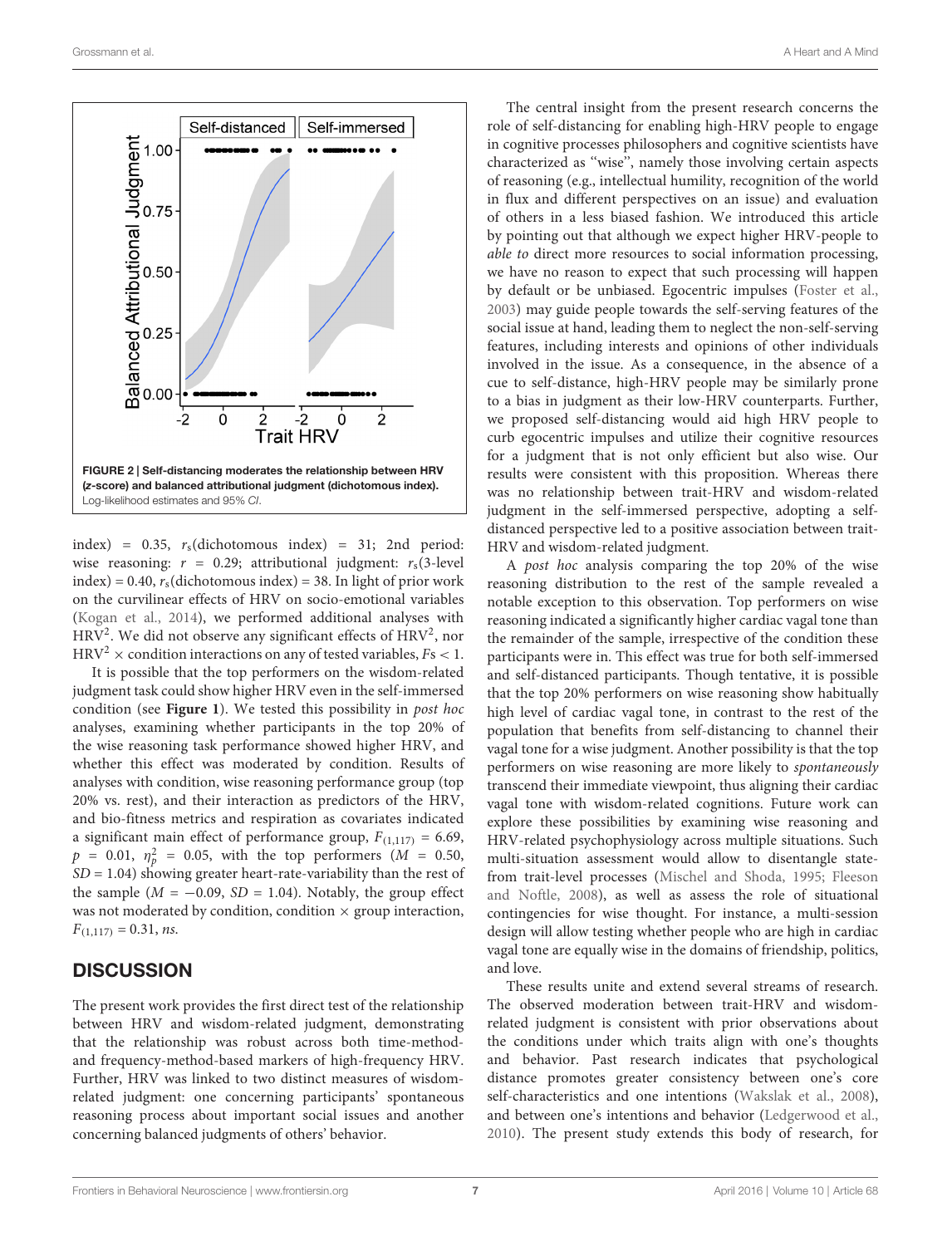

<span id="page-6-0"></span>index) =  $0.35$ ,  $r_s$ (dichotomous index) = 31; 2nd period: wise reasoning:  $r = 0.29$ ; attributional judgment:  $r_s(3$ -level  $index$ ) = 0.40,  $r_s$ (dichotomous index) = 38. In light of prior work on the curvilinear effects of HRV on socio-emotional variables [\(Kogan et al.,](#page-8-18) [2014\)](#page-8-18), we performed additional analyses with  $HRV<sup>2</sup>$ . We did not observe any significant effects of  $HRV<sup>2</sup>$ , nor  $\mathrm{HRV^{2}}\times$  condition interactions on any of tested variables,  $Fs<1.$ 

It is possible that the top performers on the wisdom-related judgment task could show higher HRV even in the self-immersed condition (see **[Figure 1](#page-5-0)**). We tested this possibility in post hoc analyses, examining whether participants in the top 20% of the wise reasoning task performance showed higher HRV, and whether this effect was moderated by condition. Results of analyses with condition, wise reasoning performance group (top 20% vs. rest), and their interaction as predictors of the HRV, and bio-fitness metrics and respiration as covariates indicated a significant main effect of performance group,  $F_{(1,117)} = 6.69$ ,  $p = 0.01, \eta_p^2 = 0.05$ , with the top performers ( $M = 0.50$ ,  $SD = 1.04$ ) showing greater heart-rate-variability than the rest of the sample ( $M = -0.09$ ,  $SD = 1.04$ ). Notably, the group effect was not moderated by condition, condition  $\times$  group interaction,  $F_{(1,117)} = 0.31$ , ns.

### **DISCUSSION**

The present work provides the first direct test of the relationship between HRV and wisdom-related judgment, demonstrating that the relationship was robust across both time-methodand frequency-method-based markers of high-frequency HRV. Further, HRV was linked to two distinct measures of wisdomrelated judgment: one concerning participants' spontaneous reasoning process about important social issues and another concerning balanced judgments of others' behavior.

The central insight from the present research concerns the role of self-distancing for enabling high-HRV people to engage in cognitive processes philosophers and cognitive scientists have characterized as ''wise'', namely those involving certain aspects of reasoning (e.g., intellectual humility, recognition of the world in flux and different perspectives on an issue) and evaluation of others in a less biased fashion. We introduced this article by pointing out that although we expect higher HRV-people to able to direct more resources to social information processing, we have no reason to expect that such processing will happen by default or be unbiased. Egocentric impulses [\(Foster et al.,](#page-8-17) [2003\)](#page-8-17) may guide people towards the self-serving features of the social issue at hand, leading them to neglect the non-self-serving features, including interests and opinions of other individuals involved in the issue. As a consequence, in the absence of a cue to self-distance, high-HRV people may be similarly prone to a bias in judgment as their low-HRV counterparts. Further, we proposed self-distancing would aid high HRV people to curb egocentric impulses and utilize their cognitive resources for a judgment that is not only efficient but also wise. Our results were consistent with this proposition. Whereas there was no relationship between trait-HRV and wisdom-related judgment in the self-immersed perspective, adopting a selfdistanced perspective led to a positive association between trait-HRV and wisdom-related judgment.

A post hoc analysis comparing the top 20% of the wise reasoning distribution to the rest of the sample revealed a notable exception to this observation. Top performers on wise reasoning indicated a significantly higher cardiac vagal tone than the remainder of the sample, irrespective of the condition these participants were in. This effect was true for both self-immersed and self-distanced participants. Though tentative, it is possible that the top 20% performers on wise reasoning show habitually high level of cardiac vagal tone, in contrast to the rest of the population that benefits from self-distancing to channel their vagal tone for a wise judgment. Another possibility is that the top performers on wise reasoning are more likely to spontaneously transcend their immediate viewpoint, thus aligning their cardiac vagal tone with wisdom-related cognitions. Future work can explore these possibilities by examining wise reasoning and HRV-related psychophysiology across multiple situations. Such multi-situation assessment would allow to disentangle statefrom trait-level processes [\(Mischel and Shoda,](#page-9-25) [1995;](#page-9-25) [Fleeson](#page-8-38) [and Noftle,](#page-8-38) [2008\)](#page-8-38), as well as assess the role of situational contingencies for wise thought. For instance, a multi-session design will allow testing whether people who are high in cardiac vagal tone are equally wise in the domains of friendship, politics, and love.

These results unite and extend several streams of research. The observed moderation between trait-HRV and wisdomrelated judgment is consistent with prior observations about the conditions under which traits align with one's thoughts and behavior. Past research indicates that psychological distance promotes greater consistency between one's core self-characteristics and one intentions [\(Wakslak et al.,](#page-9-27) [2008\)](#page-9-27), and between one's intentions and behavior [\(Ledgerwood et al.,](#page-9-28) [2010\)](#page-9-28). The present study extends this body of research, for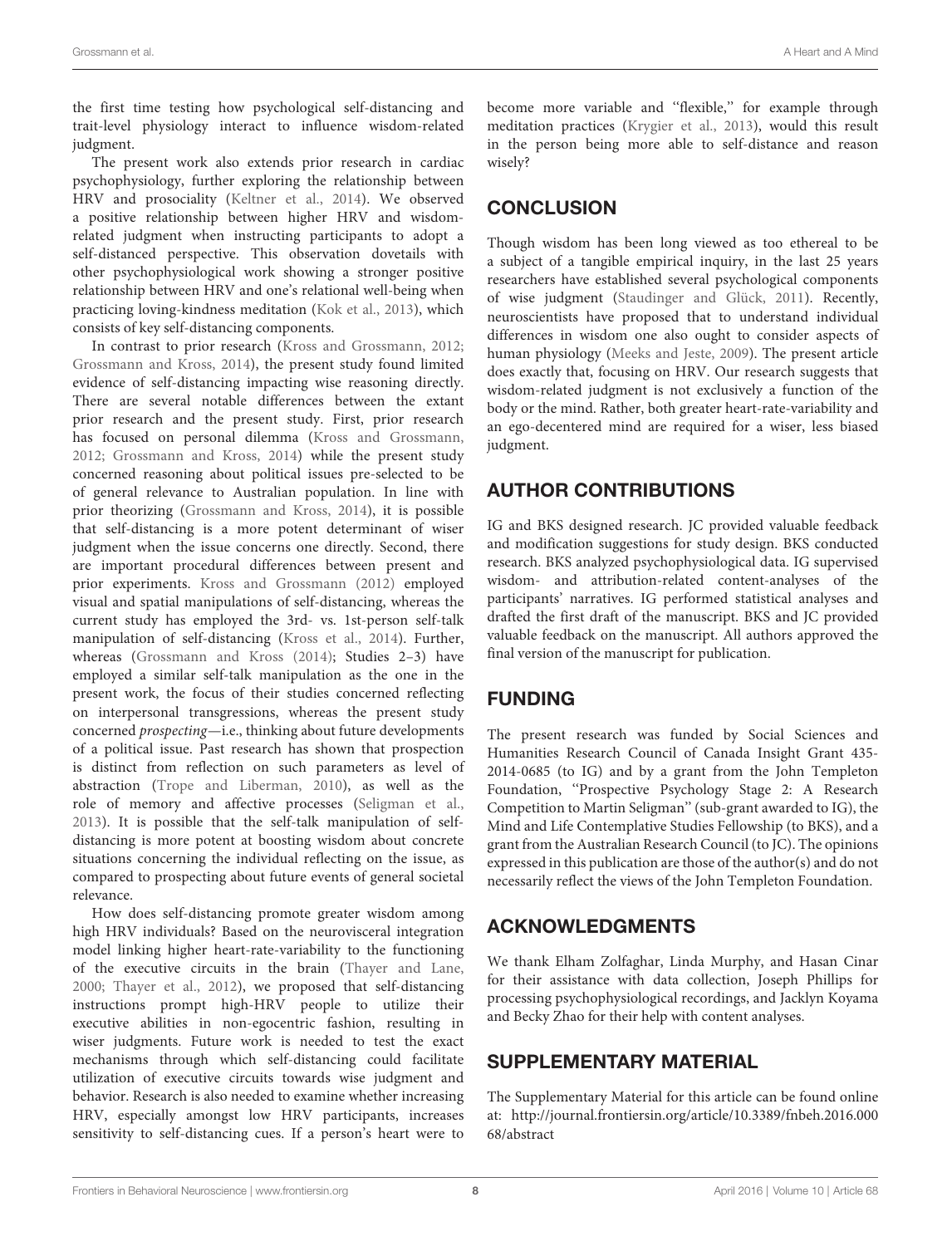the first time testing how psychological self-distancing and trait-level physiology interact to influence wisdom-related judgment.

The present work also extends prior research in cardiac psychophysiology, further exploring the relationship between HRV and prosociality [\(Keltner et al.,](#page-8-39) [2014\)](#page-8-39). We observed a positive relationship between higher HRV and wisdomrelated judgment when instructing participants to adopt a self-distanced perspective. This observation dovetails with other psychophysiological work showing a stronger positive relationship between HRV and one's relational well-being when practicing loving-kindness meditation [\(Kok et al.,](#page-8-40) [2013\)](#page-8-40), which consists of key self-distancing components.

In contrast to prior research [\(Kross and Grossmann,](#page-8-15) [2012;](#page-8-15) [Grossmann and Kross,](#page-8-16) [2014\)](#page-8-16), the present study found limited evidence of self-distancing impacting wise reasoning directly. There are several notable differences between the extant prior research and the present study. First, prior research has focused on personal dilemma [\(Kross and Grossmann,](#page-8-15) [2012;](#page-8-15) [Grossmann and Kross,](#page-8-16) [2014\)](#page-8-16) while the present study concerned reasoning about political issues pre-selected to be of general relevance to Australian population. In line with prior theorizing [\(Grossmann and Kross,](#page-8-16) [2014\)](#page-8-16), it is possible that self-distancing is a more potent determinant of wiser judgment when the issue concerns one directly. Second, there are important procedural differences between present and prior experiments. [Kross and Grossmann](#page-8-15) [\(2012\)](#page-8-15) employed visual and spatial manipulations of self-distancing, whereas the current study has employed the 3rd- vs. 1st-person self-talk manipulation of self-distancing [\(Kross et al.,](#page-8-35) [2014\)](#page-8-35). Further, whereas [\(Grossmann and Kross](#page-8-16) [\(2014\)](#page-8-16); Studies 2–3) have employed a similar self-talk manipulation as the one in the present work, the focus of their studies concerned reflecting on interpersonal transgressions, whereas the present study concerned prospecting—i.e., thinking about future developments of a political issue. Past research has shown that prospection is distinct from reflection on such parameters as level of abstraction [\(Trope and Liberman,](#page-9-29) [2010\)](#page-9-29), as well as the role of memory and affective processes [\(Seligman et al.,](#page-9-30) [2013\)](#page-9-30). It is possible that the self-talk manipulation of selfdistancing is more potent at boosting wisdom about concrete situations concerning the individual reflecting on the issue, as compared to prospecting about future events of general societal relevance.

How does self-distancing promote greater wisdom among high HRV individuals? Based on the neurovisceral integration model linking higher heart-rate-variability to the functioning of the executive circuits in the brain [\(Thayer and Lane,](#page-9-9) [2000;](#page-9-9) [Thayer et al.,](#page-9-5) [2012\)](#page-9-5), we proposed that self-distancing instructions prompt high-HRV people to utilize their executive abilities in non-egocentric fashion, resulting in wiser judgments. Future work is needed to test the exact mechanisms through which self-distancing could facilitate utilization of executive circuits towards wise judgment and behavior. Research is also needed to examine whether increasing HRV, especially amongst low HRV participants, increases sensitivity to self-distancing cues. If a person's heart were to become more variable and ''flexible,'' for example through meditation practices [\(Krygier et al.,](#page-9-31) [2013\)](#page-9-31), would this result in the person being more able to self-distance and reason wisely?

## **CONCLUSION**

Though wisdom has been long viewed as too ethereal to be a subject of a tangible empirical inquiry, in the last 25 years researchers have established several psychological components of wise judgment [\(Staudinger and Glück,](#page-9-0) [2011\)](#page-9-0). Recently, neuroscientists have proposed that to understand individual differences in wisdom one also ought to consider aspects of human physiology [\(Meeks and Jeste,](#page-9-1) [2009\)](#page-9-1). The present article does exactly that, focusing on HRV. Our research suggests that wisdom-related judgment is not exclusively a function of the body or the mind. Rather, both greater heart-rate-variability and an ego-decentered mind are required for a wiser, less biased judgment.

# AUTHOR CONTRIBUTIONS

IG and BKS designed research. JC provided valuable feedback and modification suggestions for study design. BKS conducted research. BKS analyzed psychophysiological data. IG supervised wisdom- and attribution-related content-analyses of the participants' narratives. IG performed statistical analyses and drafted the first draft of the manuscript. BKS and JC provided valuable feedback on the manuscript. All authors approved the final version of the manuscript for publication.

### FUNDING

The present research was funded by Social Sciences and Humanities Research Council of Canada Insight Grant 435- 2014-0685 (to IG) and by a grant from the John Templeton Foundation, ''Prospective Psychology Stage 2: A Research Competition to Martin Seligman'' (sub-grant awarded to IG), the Mind and Life Contemplative Studies Fellowship (to BKS), and a grant from the Australian Research Council (to JC). The opinions expressed in this publication are those of the author(s) and do not necessarily reflect the views of the John Templeton Foundation.

# ACKNOWLEDGMENTS

We thank Elham Zolfaghar, Linda Murphy, and Hasan Cinar for their assistance with data collection, Joseph Phillips for processing psychophysiological recordings, and Jacklyn Koyama and Becky Zhao for their help with content analyses.

# SUPPLEMENTARY MATERIAL

The Supplementary Material for this article can be found online at: [http://journal.frontiersin.org/article/10.3389/fnbeh.2016.000](http://journal.frontiersin.org/article/10.3389/fnbeh.2016.00068/abstract) [68/abstract](http://journal.frontiersin.org/article/10.3389/fnbeh.2016.00068/abstract)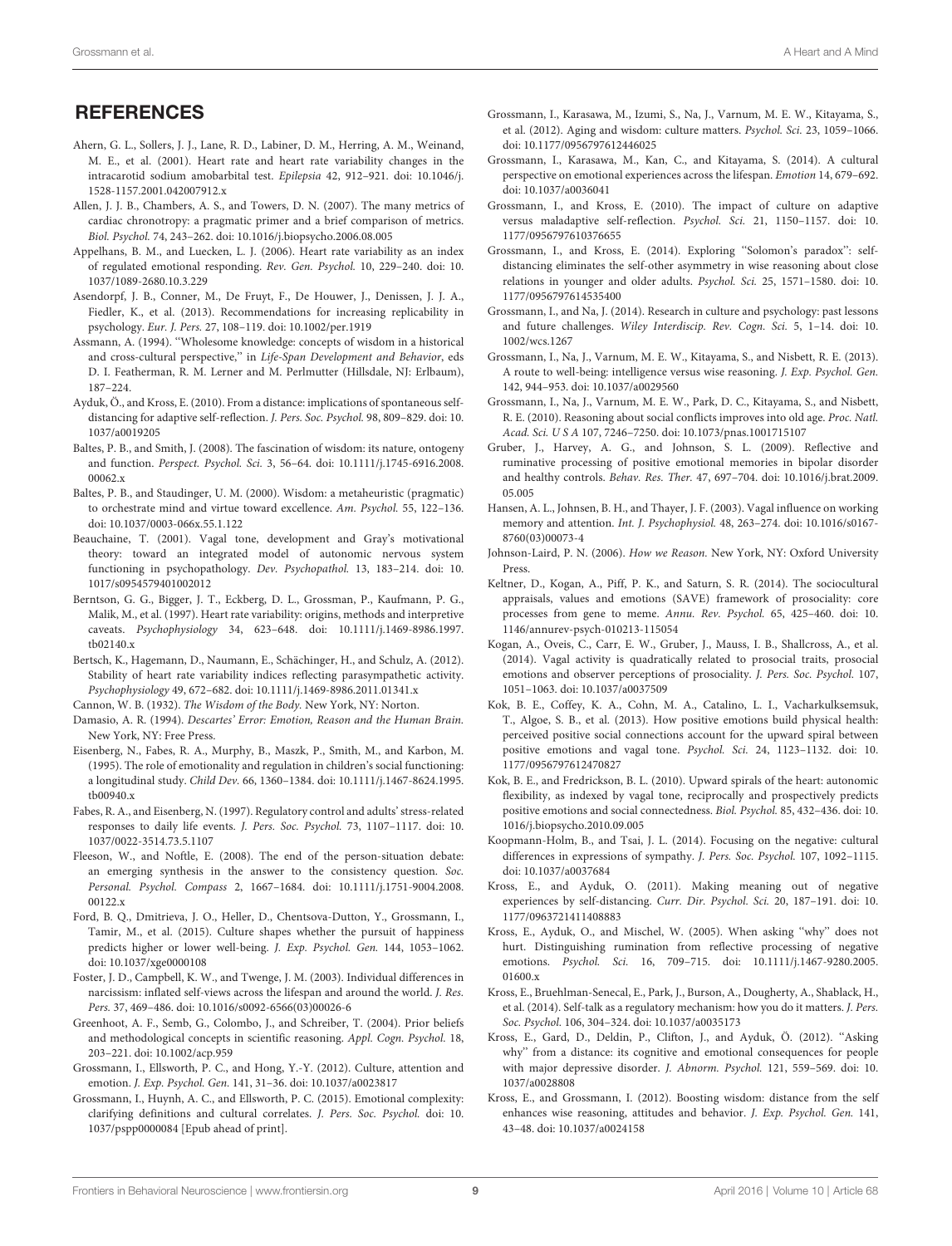### **REFERENCES**

- <span id="page-8-9"></span>Ahern, G. L., Sollers, J. J., Lane, R. D., Labiner, D. M., Herring, A. M., Weinand, M. E., et al. (2001). Heart rate and heart rate variability changes in the intracarotid sodium amobarbital test. Epilepsia 42, 912–921. doi: 10.1046/j. 1528-1157.2001.042007912.x
- <span id="page-8-36"></span>Allen, J. J. B., Chambers, A. S., and Towers, D. N. (2007). The many metrics of cardiac chronotropy: a pragmatic primer and a brief comparison of metrics. Biol. Psychol. 74, 243–262. doi: 10.1016/j.biopsycho.2006.08.005
- <span id="page-8-8"></span>Appelhans, B. M., and Luecken, L. J. (2006). Heart rate variability as an index of regulated emotional responding. Rev. Gen. Psychol. 10, 229–240. doi: 10. 1037/1089-2680.10.3.229
- <span id="page-8-37"></span>Asendorpf, J. B., Conner, M., De Fruyt, F., De Houwer, J., Denissen, J. J. A., Fiedler, K., et al. (2013). Recommendations for increasing replicability in psychology. Eur. J. Pers. 27, 108–119. doi: 10.1002/per.1919
- <span id="page-8-0"></span>Assmann, A. (1994). ''Wholesome knowledge: concepts of wisdom in a historical and cross-cultural perspective," in Life-Span Development and Behavior, eds D. I. Featherman, R. M. Lerner and M. Perlmutter (Hillsdale, NJ: Erlbaum), 187–224.
- <span id="page-8-31"></span>Ayduk, Ö., and Kross, E. (2010). From a distance: implications of spontaneous selfdistancing for adaptive self-reflection. J. Pers. Soc. Psychol. 98, 809–829. doi: 10. 1037/a0019205
- <span id="page-8-2"></span>Baltes, P. B., and Smith, J. (2008). The fascination of wisdom: its nature, ontogeny and function. Perspect. Psychol. Sci. 3, 56–64. doi: 10.1111/j.1745-6916.2008. 00062 x
- <span id="page-8-1"></span>Baltes, P. B., and Staudinger, U. M. (2000). Wisdom: a metaheuristic (pragmatic) to orchestrate mind and virtue toward excellence. Am. Psychol. 55, 122–136. doi: 10.1037/0003-066x.55.1.122
- <span id="page-8-20"></span>Beauchaine, T. (2001). Vagal tone, development and Gray's motivational theory: toward an integrated model of autonomic nervous system functioning in psychopathology. Dev. Psychopathol. 13, 183–214. doi: 10. 1017/s0954579401002012
- <span id="page-8-34"></span>Berntson, G. G., Bigger, J. T., Eckberg, D. L., Grossman, P., Kaufmann, P. G., Malik, M., et al. (1997). Heart rate variability: origins, methods and interpretive caveats. Psychophysiology 34, 623–648. doi: 10.1111/j.1469-8986.1997. tb02140.x
- <span id="page-8-10"></span>Bertsch, K., Hagemann, D., Naumann, E., Schächinger, H., and Schulz, A. (2012). Stability of heart rate variability indices reflecting parasympathetic activity. Psychophysiology 49, 672–682. doi: 10.1111/j.1469-8986.2011.01341.x

<span id="page-8-4"></span>Cannon, W. B. (1932). The Wisdom of the Body. New York, NY: Norton.

- <span id="page-8-5"></span>Damasio, A. R. (1994). Descartes' Error: Emotion, Reason and the Human Brain. New York, NY: Free Press.
- <span id="page-8-21"></span>Eisenberg, N., Fabes, R. A., Murphy, B., Maszk, P., Smith, M., and Karbon, M. (1995). The role of emotionality and regulation in children's social functioning: a longitudinal study. Child Dev. 66, 1360–1384. doi: 10.1111/j.1467-8624.1995. tb00940.x
- <span id="page-8-6"></span>Fabes, R. A., and Eisenberg, N. (1997). Regulatory control and adults' stress-related responses to daily life events. J. Pers. Soc. Psychol. 73, 1107–1117. doi: 10. 1037/0022-3514.73.5.1107
- <span id="page-8-38"></span>Fleeson, W., and Noftle, E. (2008). The end of the person-situation debate: an emerging synthesis in the answer to the consistency question. Soc. Personal. Psychol. Compass 2, 1667–1684. doi: 10.1111/j.1751-9004.2008. 00122.x
- <span id="page-8-28"></span>Ford, B. Q., Dmitrieva, J. O., Heller, D., Chentsova-Dutton, Y., Grossmann, I., Tamir, M., et al. (2015). Culture shapes whether the pursuit of happiness predicts higher or lower well-being. J. Exp. Psychol. Gen. 144, 1053–1062. doi: 10.1037/xge0000108
- <span id="page-8-17"></span>Foster, J. D., Campbell, K. W., and Twenge, J. M. (2003). Individual differences in narcissism: inflated self-views across the lifespan and around the world. J. Res. Pers. 37, 469–486. doi: 10.1016/s0092-6566(03)00026-6
- <span id="page-8-12"></span>Greenhoot, A. F., Semb, G., Colombo, J., and Schreiber, T. (2004). Prior beliefs and methodological concepts in scientific reasoning. Appl. Cogn. Psychol. 18, 203–221. doi: 10.1002/acp.959
- <span id="page-8-23"></span>Grossmann, I., Ellsworth, P. C., and Hong, Y.-Y. (2012). Culture, attention and emotion. J. Exp. Psychol. Gen. 141, 31–36. doi: 10.1037/a0023817
- <span id="page-8-25"></span>Grossmann, I., Huynh, A. C., and Ellsworth, P. C. (2015). Emotional complexity: clarifying definitions and cultural correlates. J. Pers. Soc. Psychol. doi: 10. 1037/pspp0000084 [Epub ahead of print].
- <span id="page-8-14"></span>Grossmann, I., Karasawa, M., Izumi, S., Na, J., Varnum, M. E. W., Kitayama, S., et al. (2012). Aging and wisdom: culture matters. Psychol. Sci. 23, 1059–1066. doi: 10.1177/0956797612446025
- <span id="page-8-24"></span>Grossmann, I., Karasawa, M., Kan, C., and Kitayama, S. (2014). A cultural perspective on emotional experiences across the lifespan. Emotion 14, 679–692. doi: 10.1037/a0036041
- <span id="page-8-22"></span>Grossmann, I., and Kross, E. (2010). The impact of culture on adaptive versus maladaptive self-reflection. Psychol. Sci. 21, 1150–1157. doi: 10. 1177/0956797610376655
- <span id="page-8-16"></span>Grossmann, I., and Kross, E. (2014). Exploring ''Solomon's paradox'': selfdistancing eliminates the self-other asymmetry in wise reasoning about close relations in younger and older adults. Psychol. Sci. 25, 1571–1580. doi: 10. 1177/0956797614535400
- <span id="page-8-26"></span>Grossmann, I., and Na, J. (2014). Research in culture and psychology: past lessons and future challenges. Wiley Interdiscip. Rev. Cogn. Sci. 5, 1–14. doi: 10. 1002/wcs.1267
- <span id="page-8-11"></span>Grossmann, I., Na, J., Varnum, M. E. W., Kitayama, S., and Nisbett, R. E. (2013). A route to well-being: intelligence versus wise reasoning. J. Exp. Psychol. Gen. 142, 944–953. doi: 10.1037/a0029560
- <span id="page-8-3"></span>Grossmann, I., Na, J., Varnum, M. E. W., Park, D. C., Kitayama, S., and Nisbett, R. E. (2010). Reasoning about social conflicts improves into old age. Proc. Natl. Acad. Sci. U S A 107, 7246–7250. doi: 10.1073/pnas.1001715107
- <span id="page-8-33"></span>Gruber, J., Harvey, A. G., and Johnson, S. L. (2009). Reflective and ruminative processing of positive emotional memories in bipolar disorder and healthy controls. Behav. Res. Ther. 47, 697–704. doi: 10.1016/j.brat.2009. 05.005
- <span id="page-8-7"></span>Hansen, A. L., Johnsen, B. H., and Thayer, J. F. (2003). Vagal influence on working memory and attention. Int. J. Psychophysiol. 48, 263–274. doi: 10.1016/s0167- 8760(03)00073-4
- <span id="page-8-13"></span>Johnson-Laird, P. N. (2006). How we Reason. New York, NY: Oxford University Press.
- <span id="page-8-39"></span>Keltner, D., Kogan, A., Piff, P. K., and Saturn, S. R. (2014). The sociocultural appraisals, values and emotions (SAVE) framework of prosociality: core processes from gene to meme. Annu. Rev. Psychol. 65, 425–460. doi: 10. 1146/annurev-psych-010213-115054
- <span id="page-8-18"></span>Kogan, A., Oveis, C., Carr, E. W., Gruber, J., Mauss, I. B., Shallcross, A., et al. (2014). Vagal activity is quadratically related to prosocial traits, prosocial emotions and observer perceptions of prosociality. J. Pers. Soc. Psychol. 107, 1051–1063. doi: 10.1037/a0037509
- <span id="page-8-40"></span>Kok, B. E., Coffey, K. A., Cohn, M. A., Catalino, L. I., Vacharkulksemsuk, T., Algoe, S. B., et al. (2013). How positive emotions build physical health: perceived positive social connections account for the upward spiral between positive emotions and vagal tone. Psychol. Sci. 24, 1123–1132. doi: 10. 1177/0956797612470827
- <span id="page-8-19"></span>Kok, B. E., and Fredrickson, B. L. (2010). Upward spirals of the heart: autonomic flexibility, as indexed by vagal tone, reciprocally and prospectively predicts positive emotions and social connectedness. Biol. Psychol. 85, 432–436. doi: 10. 1016/j.biopsycho.2010.09.005
- <span id="page-8-27"></span>Koopmann-Holm, B., and Tsai, J. L. (2014). Focusing on the negative: cultural differences in expressions of sympathy. J. Pers. Soc. Psychol. 107, 1092–1115. doi: 10.1037/a0037684
- <span id="page-8-32"></span>Kross, E., and Ayduk, O. (2011). Making meaning out of negative experiences by self-distancing. Curr. Dir. Psychol. Sci. 20, 187–191. doi: 10. 1177/0963721411408883
- <span id="page-8-29"></span>Kross, E., Ayduk, O., and Mischel, W. (2005). When asking ''why'' does not hurt. Distinguishing rumination from reflective processing of negative emotions. Psychol. Sci. 16, 709–715. doi: 10.1111/j.1467-9280.2005. 01600.x
- <span id="page-8-35"></span>Kross, E., Bruehlman-Senecal, E., Park, J., Burson, A., Dougherty, A., Shablack, H., et al. (2014). Self-talk as a regulatory mechanism: how you do it matters. J. Pers. Soc. Psychol. 106, 304–324. doi: 10.1037/a0035173
- <span id="page-8-30"></span>Kross, E., Gard, D., Deldin, P., Clifton, J., and Ayduk, Ö. (2012). ''Asking why'' from a distance: its cognitive and emotional consequences for people with major depressive disorder. J. Abnorm. Psychol. 121, 559–569. doi: 10. 1037/a0028808
- <span id="page-8-15"></span>Kross, E., and Grossmann, I. (2012). Boosting wisdom: distance from the self enhances wise reasoning, attitudes and behavior. J. Exp. Psychol. Gen. 141, 43–48. doi: 10.1037/a0024158